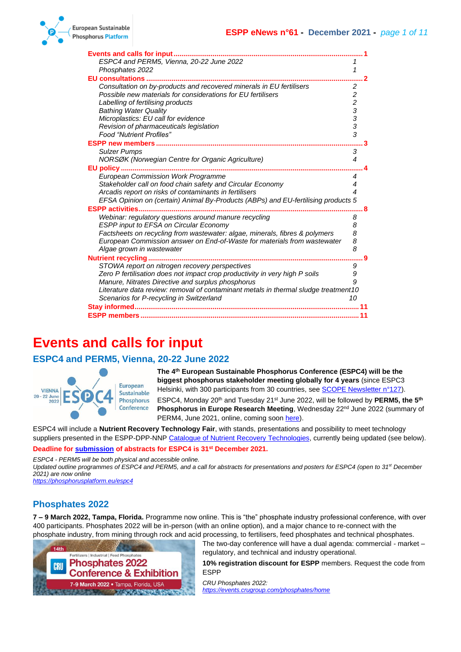| <b>Events and calls for input </b>                                                  |                         |
|-------------------------------------------------------------------------------------|-------------------------|
| ESPC4 and PERM5, Vienna, 20-22 June 2022                                            |                         |
| Phosphates 2022                                                                     | 1                       |
| <b>EU consultations.</b>                                                            |                         |
| Consultation on by-products and recovered minerals in EU fertilisers                | $\overline{\mathbf{c}}$ |
| Possible new materials for considerations for EU fertilisers                        |                         |
| Labelling of fertilising products                                                   |                         |
| <b>Bathing Water Quality</b>                                                        |                         |
| Microplastics: EU call for evidence                                                 |                         |
| Revision of pharmaceuticals legislation                                             | $2233$ $333$            |
| <b>Food "Nutrient Profiles"</b>                                                     |                         |
|                                                                                     |                         |
| <b>Sulzer Pumps</b>                                                                 | 3                       |
| NORSØK (Norwegian Centre for Organic Agriculture)                                   | 4                       |
| EU policy                                                                           |                         |
| <b>European Commission Work Programme</b>                                           | 4                       |
| Stakeholder call on food chain safety and Circular Economy                          | 4                       |
| Arcadis report on risks of contaminants in fertilisers                              | 4                       |
| EFSA Opinion on (certain) Animal By-Products (ABPs) and EU-fertilising products 5   |                         |
|                                                                                     |                         |
| Webinar: regulatory questions around manure recycling                               | 8                       |
| <b>ESPP input to EFSA on Circular Economy</b>                                       | 8                       |
| Factsheets on recycling from wastewater: algae, minerals, fibres & polymers         | 8                       |
| European Commission answer on End-of-Waste for materials from wastewater            | 8                       |
| Algae grown in wastewater                                                           | 8                       |
|                                                                                     |                         |
| STOWA report on nitrogen recovery perspectives                                      | 9                       |
| Zero P fertilisation does not impact crop productivity in very high P soils         | 9                       |
| Manure, Nitrates Directive and surplus phosphorus                                   | 9                       |
| Literature data review: removal of contaminant metals in thermal sludge treatment10 |                         |
| Scenarios for P-recycling in Switzerland                                            | 10                      |
|                                                                                     |                         |
|                                                                                     |                         |

## <span id="page-0-0"></span>**Events and calls for input**

## <span id="page-0-1"></span>**ESPC4 and PERM5, Vienna, 20-22 June 2022**



**The 4th European Sustainable Phosphorus Conference (ESPC4) will be the biggest phosphorus stakeholder meeting globally for 4 years** (since ESPC3 Helsinki, with 300 participants from 30 countries, see [SCOPE Newsletter n°127\)](http://www.phosphorusplatform.eu/Scope127). ESPC4, Monday 20th and Tuesday 21st June 2022, will be followed by **PERM5, the 5th Phosphorus in Europe Research Meeting**, Wednesday 22<sup>nd</sup> June 2022 (summary of

ESPC4 will include a **Nutrient Recovery Technology Fair**, with stands, presentations and possibility to meet technology suppliers presented in the ESPP-DPP-NNP [Catalogue of Nutrient Recovery Technologies,](http://www.phosphorusplatform.eu/p-recovery-technology-inventory) currently being updated (see below).

PERM4, June 2021, online, coming soo[n here\)](https://phosphorusplatform.eu/scopenewsletter).

#### **Deadline for [submission](https://phosphorusplatform.eu/espc4) of abstracts for ESPC4 is 31st December 2021.**

*ESPC4 - PERM5 will be both physical and accessible online.* 

*Updated outline programmes of ESPC4 and PERM5, and a call for abstracts for presentations and posters for ESPC4 (open to 31st December 2021) are now online*

*<https://phosphorusplatform.eu/espc4>*

## <span id="page-0-2"></span>**Phosphates 2022**

**7 – 9 March 2022, Tampa, Florida.** Programme now online. This is "the" phosphate industry professional conference, with over 400 participants. Phosphates 2022 will be in-person (with an online option), and a major chance to re-connect with the phosphate industry, from mining through rock and acid processing, to fertilisers, feed phosphates and technical phosphates.



The two-day conference will have a dual agenda: commercial - market – regulatory, and technical and industry operational.

**10% registration discount for ESPP** members. Request the code from ESPP

*CRU Phosphates 2022: <https://events.crugroup.com/phosphates/home>*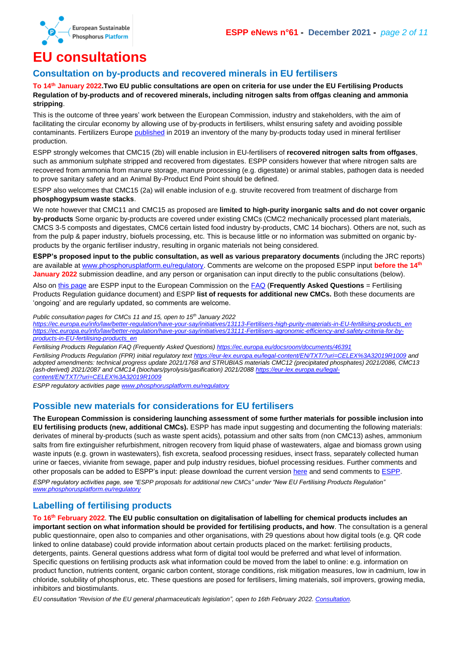

## <span id="page-1-0"></span>**EU consultations**

### <span id="page-1-1"></span>**Consultation on by-products and recovered minerals in EU fertilisers**

**To 14th January 2022.Two EU public consultations are open on criteria for use under the EU Fertilising Products Regulation of by-products and of recovered minerals, including nitrogen salts from offgas cleaning and ammonia stripping**.

This is the outcome of three years' work between the European Commission, industry and stakeholders, with the aim of facilitating the circular economy by allowing use of by-products in fertilisers, whilst ensuring safety and avoiding possible contaminants. Fertilizers Europe [published](https://www.fertilizerseurope.com/wp-content/uploads/2019/08/Circular_Economy_01.pdf) in 2019 an inventory of the many by-products today used in mineral fertiliser production.

ESPP strongly welcomes that CMC15 (2b) will enable inclusion in EU-fertilisers of **recovered nitrogen salts from offgases**, such as ammonium sulphate stripped and recovered from digestates. ESPP considers however that where nitrogen salts are recovered from ammonia from manure storage, manure processing (e.g. digestate) or animal stables, pathogen data is needed to prove sanitary safety and an Animal By-Product End Point should be defined.

ESPP also welcomes that CMC15 (2a) will enable inclusion of e.g. struvite recovered from treatment of discharge from **phosphogypsum waste stacks**.

We note however that CMC11 and CMC15 as proposed are **limited to high-purity inorganic salts and do not cover organic by-products** Some organic by-products are covered under existing CMCs (CMC2 mechanically processed plant materials, CMCS 3-5 composts and digestates, CMC6 certain listed food industry by-products, CMC 14 biochars). Others are not, such as from the pulp & paper industry, biofuels processing, etc. This is because little or no information was submitted on organic byproducts by the organic fertiliser industry, resulting in organic materials not being considered.

**ESPP's proposed input to the public consultation, as well as various preparatory documents** (including the JRC reports) are available at [www.phosphorusplatform.eu/regulatory.](http://www.phosphorusplatform.eu/regulatory) Comments are welcome on the proposed ESPP input **before the 14th January 2022** submission deadline, and any person or organisation can input directly to the public consultations (below).

Also on [this page](http://www.phosphorusplatform.eu/regulatory) are ESPP input to the European Commission on the [FAQ](https://ec.europa.eu/docsroom/documents/46391) (**Frequently Asked Questions** = Fertilising Products Regulation guidance document) and ESPP **list of requests for additional new CMCs.** Both these documents are 'ongoing' and are regularly updated, so comments are welcome.

*Public consultation pages for CMCs 11 and 15, open to 15th January 2022*

*[https://ec.europa.eu/info/law/better-regulation/have-your-say/initiatives/13113-Fertilisers-high-purity-materials-in-EU-fertilising-products\\_en](https://ec.europa.eu/info/law/better-regulation/have-your-say/initiatives/13113-Fertilisers-high-purity-materials-in-EU-fertilising-products_en) [https://ec.europa.eu/info/law/better-regulation/have-your-say/initiatives/13111-Fertilisers-agronomic-efficiency-and-safety-criteria-for-by](https://ec.europa.eu/info/law/better-regulation/have-your-say/initiatives/13111-Fertilisers-agronomic-efficiency-and-safety-criteria-for-by-products-in-EU-fertilising-products_en)[products-in-EU-fertilising-products\\_en](https://ec.europa.eu/info/law/better-regulation/have-your-say/initiatives/13111-Fertilisers-agronomic-efficiency-and-safety-criteria-for-by-products-in-EU-fertilising-products_en)*

*Fertilising Products Regulation FAQ (Frequently Asked Questions)<https://ec.europa.eu/docsroom/documents/46391>*

*Fertilising Products Regulation (FPR) initial regulatory tex[t https://eur-lex.europa.eu/legal-content/EN/TXT/?uri=CELEX%3A32019R1009](https://eur-lex.europa.eu/legal-content/EN/TXT/?uri=CELEX%3A32019R1009) and adopted amendments: technical progress update 2021/1768 and STRUBIAS materials CMC12 (precipitated phosphates) 2021/2086, CMC13 (ash-derived) 2021/2087 and CMC14 (biochars/pyrolysis/gasification) 2021/2088 [https://eur-lex.europa.eu/legal](https://eur-lex.europa.eu/legal-content/EN/TXT/?uri=CELEX%3A32019R1009)[content/EN/TXT/?uri=CELEX%3A32019R1009](https://eur-lex.europa.eu/legal-content/EN/TXT/?uri=CELEX%3A32019R1009)*

*ESPP regulatory activities page [www.phosphorusplatform.eu/regulatory](http://www.phosphorusplatform.eu/regulatory)*

## <span id="page-1-2"></span>**Possible new materials for considerations for EU fertilisers**

**The European Commission is considering launching assessment of some further materials for possible inclusion into EU fertilising products (new, additional CMCs).** ESPP has made input suggesting and documenting the following materials: derivates of mineral by-products (such as waste spent acids), potassium and other salts from (non CMC13) ashes, ammonium salts from fire extinguisher refurbishment, nitrogen recovery from liquid phase of wastewaters, algae and biomass grown using waste inputs (e.g. grown in wastewaters), fish excreta, seafood processing residues, insect frass, separately collected human urine or faeces, vivianite from sewage, paper and pulp industry residues, biofuel processing residues. Further comments and other proposals can be added to ESPP's input: please download the current version [here](http://www.phosphorusplatform.eu/regulatory) and send comments to [ESPP.](mailto:info@phosphorusplatform.eu)

*ESPP regulatory activities page, see "ESPP proposals for additional new CMCs" under "New EU Fertilising Products Regulation" [www.phosphorusplatform.eu/regulatory](http://www.phosphorusplatform.eu/regulatory)*

## <span id="page-1-3"></span>**Labelling of fertilising products**

**To 16th February 2022**. **The EU public consultation on digitalisation of labelling for chemical products includes an important section on what information should be provided for fertilising products, and how**. The consultation is a general public questionnaire, open also to companies and other organisations, with 29 questions about how digital tools (e.g. QR code linked to online database) could provide information about certain products placed on the market: fertilising products, detergents, paints. General questions address what form of digital tool would be preferred and what level of information. Specific questions on fertilising products ask what information could be moved from the label to online: e.g. information on product function, nutrients content, organic carbon content, storage conditions, risk mitigation measures, low in cadmium, low in chloride, solubility of phosphorus, etc. These questions are posed for fertilisers, liming materials, soil improvers, growing media, inhibitors and biostimulants.

*EU consultation "Revision of the EU general pharmaceuticals legislation", open to 16th February 2022[. Consultation.](https://ec.europa.eu/info/law/better-regulation/have-your-say/initiatives/12992-Chemicals-simplification-and-digitalisation-of-labelling-requirements_en)*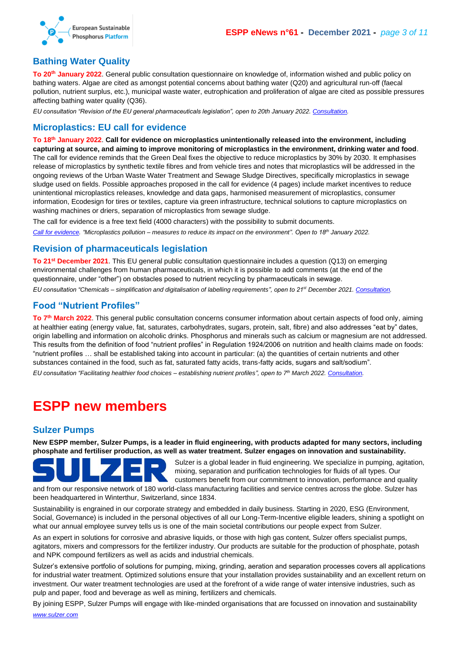

## <span id="page-2-0"></span>**Bathing Water Quality**

**To 20th January 2022**. General public consultation questionnaire on knowledge of, information wished and public policy on bathing waters. Algae are cited as amongst potential concerns about bathing water (Q20) and agricultural run-off (faecal pollution, nutrient surplus, etc.), municipal waste water, eutrophication and proliferation of algae are cited as possible pressures affecting bathing water quality (Q36).

*EU consultation "Revision of the EU general pharmaceuticals legislation", open to 20th January 2022[. Consultation.](https://ec.europa.eu/info/law/better-regulation/have-your-say/initiatives/12658-Bathing-water-quality-review-of-EU-rules/public-consultation_en)*

## <span id="page-2-1"></span>**Microplastics: EU call for evidence**

**To 18th January 2022**. **Call for evidence on microplastics unintentionally released into the environment, including capturing at source, and aiming to improve monitoring of microplastics in the environment, drinking water and food**. The call for evidence reminds that the Green Deal fixes the objective to reduce microplastics by 30% by 2030. It emphasises release of microplastics by synthetic textile fibres and from vehicle tires and notes that microplastics will be addressed in the ongoing reviews of the Urban Waste Water Treatment and Sewage Sludge Directives, specifically microplastics in sewage sludge used on fields. Possible approaches proposed in the call for evidence (4 pages) include market incentives to reduce unintentional microplastics releases, knowledge and data gaps, harmonised measurement of microplastics, consumer information, Ecodesign for tires or textiles, capture via green infrastructure, technical solutions to capture microplastics on washing machines or driers, separation of microplastics from sewage sludge.

The call for evidence is a free text field (4000 characters) with the possibility to submit documents.

*[Call for evidence.](https://ec.europa.eu/info/law/better-regulation/have-your-say/initiatives/12823-Microplastics-pollution-measures-to-reduce-its-impact-on-the-environment_en) "Microplastics pollution – measures to reduce its impact on the environment". Open to 18th January 2022.* 

## <span id="page-2-2"></span>**Revision of pharmaceuticals legislation**

**To 21st December 2021**. This EU general public consultation questionnaire includes a question (Q13) on emerging environmental challenges from human pharmaceuticals, in which it is possible to add comments (at the end of the questionnaire, under "other") on obstacles posed to nutrient recycling by pharmaceuticals in sewage.

*EU consultation "Chemicals – simplification and digitalisation of labelling requirements", open to 21st December 2021[. Consultation.](https://ec.europa.eu/info/law/better-regulation/have-your-say/initiatives/12963-Revision-of-the-EU-general-pharmaceuticals-legislation_en)*

## <span id="page-2-3"></span>**Food "Nutrient Profiles"**

**To 7th March 2022**. This general public consultation concerns consumer information about certain aspects of food only, aiming at healthier eating (energy value, fat, saturates, carbohydrates, sugars, protein, salt, fibre) and also addresses "eat by" dates, origin labelling and information on alcoholic drinks. Phosphorus and minerals such as calcium or magnesium are not addressed. This results from the definition of food "nutrient profiles" in Regulation 1924/2006 on nutrition and health claims made on foods: "nutrient profiles … shall be established taking into account in particular: (a) the quantities of certain nutrients and other substances contained in the food, such as fat, saturated fatty acids, trans-fatty acids, sugars and salt/sodium".

*EU consultation "Facilitating healthier food choices – establishing nutrient profiles", open to 7 th March 2022[. Consultation.](https://ec.europa.eu/info/law/better-regulation/have-your-say/initiatives/12748-Facilitating-healthier-food-choices-establishing-nutrient-profiles_en)*

## <span id="page-2-4"></span>**ESPP new members**

## <span id="page-2-5"></span>**Sulzer Pumps**

**New ESPP member, Sulzer Pumps, is a leader in fluid engineering, with products adapted for many sectors, including phosphate and fertiliser production, as well as water treatment. Sulzer engages on innovation and sustainability.**



Sulzer is a global leader in fluid engineering. We specialize in pumping, agitation, mixing, separation and purification technologies for fluids of all types. Our customers benefit from our commitment to innovation, performance and quality

and from our responsive network of 180 world-class manufacturing facilities and service centres across the globe. Sulzer has been headquartered in Winterthur, Switzerland, since 1834.

Sustainability is engrained in our corporate strategy and embedded in daily business. Starting in 2020, ESG (Environment, Social, Governance) is included in the personal objectives of all our Long-Term-Incentive eligible leaders, shining a spotlight on what our annual employee survey tells us is one of the main societal contributions our people expect from Sulzer.

As an expert in solutions for corrosive and abrasive liquids, or those with high gas content, Sulzer offers specialist pumps, agitators, mixers and compressors for the fertilizer industry. Our products are suitable for the production of phosphate, potash and NPK compound fertilizers as well as acids and industrial chemicals.

Sulzer's extensive portfolio of solutions for pumping, mixing, grinding, aeration and separation processes covers all applications for industrial water treatment. Optimized solutions ensure that your installation provides sustainability and an excellent return on investment. Our water treatment technologies are used at the forefront of a wide range of water intensive industries, such as pulp and paper, food and beverage as well as mining, fertilizers and chemicals.

By joining ESPP, Sulzer Pumps will engage with like-minded organisations that are focussed on innovation and sustainability *[www.sulzer.com](http://www.sulzer.com/)*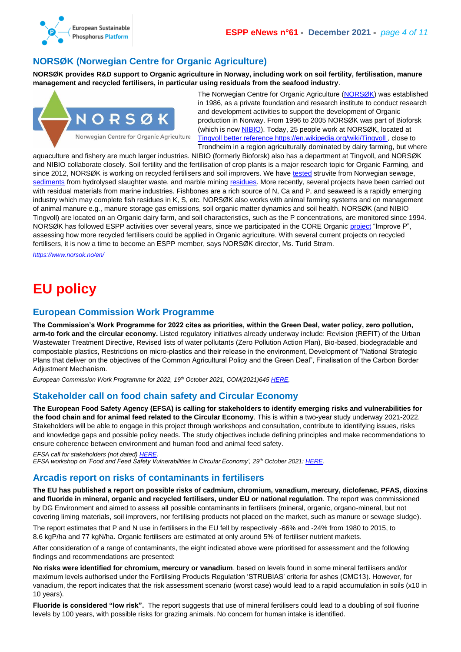

## <span id="page-3-0"></span>**NORSØK (Norwegian Centre for Organic Agriculture)**

**NORSØK provides R&D support to Organic agriculture in Norway, including work on soil fertility, fertilisation, manure management and recycled fertilisers, in particular using residuals from the seafood industry**.



The Norwegian Centre for Organic Agriculture [\(NORSØK\)](https://www.norsok.no/en/) was established in 1986, as a private foundation and research institute to conduct research and development activities to support the development of Organic production in Norway. From 1996 to 2005 NORSØK was part of Bioforsk (which is now **NIBIO**). Today, 25 people work at NORSØK, located at [Tingvoll](https://www.norsok.no/en/about-norsok/tingvoll-gard-as-a-research-and-educational-arena) better reference<https://en.wikipedia.org/wiki/Tingvoll> , close to Trondheim in a region agriculturally dominated by dairy farming, but where

aquaculture and fishery are much larger industries. NIBIO (formerly Bioforsk) also has a department at Tingvoll, and NORSØK and NIBIO collaborate closely. Soil fertility and the fertilisation of crop plants is a major research topic for Organic Farming, and since 2012, NORSØK is working on recycled fertilisers and soil improvers. We have [tested]((https:/orgprints.org/id/eprint/36472/) struvite from Norwegian sewage, [sediments](ref%20https:/orgprints.org/id/eprint/32518/) from hydrolysed slaughter waste, and marble mining [residues.](https://orgprints.org/id/eprint/32037/) More recently, several projects have been carried out with residual materials from marine industries. Fishbones are a rich source of N, Ca and P, and seaweed is a rapidly emerging industry which may complete fish residues in K, S, etc. NORSØK also works with animal farming systems and on management of animal manure e.g., manure storage gas emissions, soil organic matter dynamics and soil health. NORSØK (and NIBIO Tingvoll) are located on an Organic dairy farm, and soil characteristics, such as the P concentrations, are monitored since 1994. NORSØK has followed ESPP activities over several years, since we participated in the CORE Organic [project](https://orgprints.org/id/eprint/30368/) "Improve P", assessing how more recycled fertilisers could be applied in Organic agriculture. With several current projects on recycled fertilisers, it is now a time to become an ESPP member, says NORSØK director, Ms. Turid Strøm.

*<https://www.norsok.no/en/>*

# <span id="page-3-1"></span>**EU policy**

#### <span id="page-3-2"></span>**European Commission Work Programme**

**The Commission's Work Programme for 2022 cites as priorities, within the Green Deal, water policy, zero pollution, arm-to fork and the circular economy.** Listed regulatory initiatives already underway include: Revision (REFIT) of the Urban Wastewater Treatment Directive, Revised lists of water pollutants (Zero Pollution Action Plan), Bio-based, biodegradable and compostable plastics, Restrictions on micro-plastics and their release in the environment, Development of "National Strategic Plans that deliver on the objectives of the Common Agricultural Policy and the Green Deal", Finalisation of the Carbon Border Adjustment Mechanism.

*European Commission Work Programme for 2022, 19th October 2021, COM(2021)645 [HERE.](https://ec.europa.eu/info/publications/2022-commission-work-programme-key-documents_en)*

#### <span id="page-3-3"></span>**Stakeholder call on food chain safety and Circular Economy**

**The European Food Safety Agency (EFSA) is calling for stakeholders to identify emerging risks and vulnerabilities for the food chain and for animal feed related to the Circular Economy**. This is within a two-year study underway 2021-2022. Stakeholders will be able to engage in this project through workshops and consultation, contribute to identifying issues, risks and knowledge gaps and possible policy needs. The study objectives include defining principles and make recommendations to ensure coherence between environment and human food and animal feed safety.

*EFSA call for stakeholders (not dated) [HERE.](https://www.efsa.europa.eu/en/stakeholders/calls-for-stakeholders#questions)*

*EFSA workshop on 'Food and Feed Safety Vulnerabilities in Circular Economy', 29th October 2021[: HERE.](https://www.efsa.europa.eu/en/events/stakeholder-workshop-food-and-feed-safety-vulnerabilities-circular-economy)*

#### <span id="page-3-4"></span>**Arcadis report on risks of contaminants in fertilisers**

**The EU has published a report on possible risks of cadmium, chromium, vanadium, mercury, diclofenac, PFAS, dioxins and fluoride in mineral, organic and recycled fertilisers, under EU or national regulation**. The report was commissioned by DG Environment and aimed to assess all possible contaminants in fertilisers (mineral, organic, organo-mineral, but not covering liming materials, soil improvers, nor fertilising products not placed on the market, such as manure or sewage sludge).

The report estimates that P and N use in fertilisers in the EU fell by respectively -66% and -24% from 1980 to 2015, to 8.6 kgP/ha and 77 kgN/ha. Organic fertilisers are estimated at only around 5% of fertiliser nutrient markets.

After consideration of a range of contaminants, the eight indicated above were prioritised for assessment and the following findings and recommendations are presented:

**No risks were identified for chromium, mercury or vanadium**, based on levels found in some mineral fertilisers and/or maximum levels authorised under the Fertilising Products Regulation 'STRUBIAS' criteria for ashes (CMC13). However, for vanadium, the report indicates that the risk assessment scenario (worst case) would lead to a rapid accumulation in soils (x10 in 10 years).

**Fluoride is considered "low risk".** The report suggests that use of mineral fertilisers could lead to a doubling of soil fluorine levels by 100 years, with possible risks for grazing animals. No concern for human intake is identified.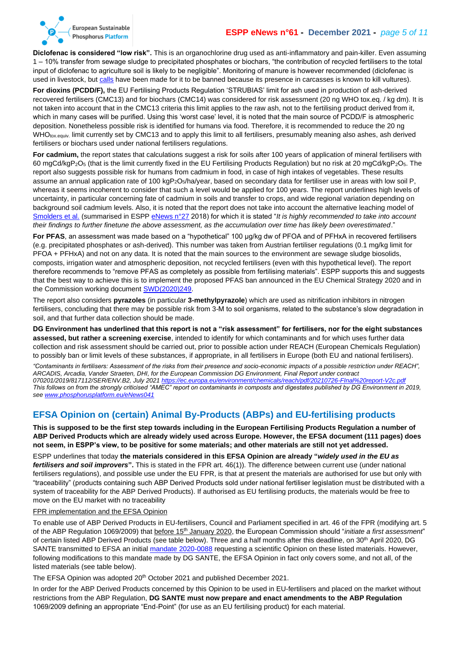

#### **ESPP eNews n°61 - December 2021 -** *page 5 of 11*

**Diclofenac is considered "low risk".** This is an organochlorine drug used as anti-inflammatory and pain-killer. Even assuming 1 – 10% transfer from sewage sludge to precipitated phosphates or biochars, "the contribution of recycled fertilisers to the total input of diclofenac to agriculture soil is likely to be negligible". Monitoring of manure is however recommended (diclofenac is used in livestock, bu[t calls](https://www.irec.es/en/publicaciones-destacadas/cientificos-europeos-demandan-prohibicion-definitiva-uso-veterinario-diclofenaco/) have been made for it to be banned because its presence in carcasses is known to kill vultures).

**For dioxins (PCDD/F),** the EU Fertilising Products Regulation 'STRUBIAS' limit for ash used in production of ash-derived recovered fertilisers (CMC13) and for biochars (CMC14) was considered for risk assessment (20 ng WHO tox.eq. / kg dm). It is not taken into account that in the CMC13 criteria this limit applies to the raw ash, not to the fertilising product derived from it, which in many cases will be purified. Using this 'worst case' level, it is noted that the main source of PCDD/F is atmospheric deposition. Nonetheless possible risk is identified for humans via food. Therefore, it is recommended to reduce the 20 ng WHO<sub>tox.equiv.</sub> limit currently set by CMC13 and to apply this limit to all fertilisers, presumably meaning also ashes, ash derived fertilisers or biochars used under national fertilisers regulations.

**For cadmium,** the report states that calculations suggest a risk for soils after 100 years of application of mineral fertilisers with 60 mgCd/kgP2O<sup>5</sup> (that is the limit currently fixed in the EU Fertilising Products Regulation) but no risk at 20 mgCd/kgP2O5. The report also suggests possible risk for humans from cadmium in food, in case of high intakes of vegetables. These results assume an annual application rate of 100 kgP<sub>2</sub>O<sub>5</sub>/ha/year, based on secondary data for fertiliser use in areas with low soil P, whereas it seems incoherent to consider that such a level would be applied for 100 years. The report underlines high levels of uncertainty, in particular concerning fate of cadmium in soils and transfer to crops, and wide regional variation depending on background soil cadmium levels. Also, it is noted that the report does not take into account the alternative leaching model of [Smolders et al.](https://www.wur.nl/nl/show/Prediction-of-changes-in-soil-cadmium-contents-at-EU-and-Member-State-MS.htm) (summarised in ESP[P eNews n°27](http://www.phosphorusplatform.eu/eNews027) 2018) for which it is stated "It is highly recommended to take into account *their findings to further finetune the above assessment, as the accumulation over time has likely been overestimated*."

For PFAS, an assessment was made based on a "hypothetical" 100 µg/kg dw of PFOA and of PFHxA in recovered fertilisers (e.g. precipitated phosphates or ash-derived). This number was taken from Austrian fertiliser regulations (0.1 mg/kg limit for PFOA + PFHxA) and not on any data. It is noted that the main sources to the environment are sewage sludge biosolids, composts, irrigation water and atmospheric deposition, not recycled fertilisers (even with this hypothetical level). The report therefore recommends to "remove PFAS as completely as possible from fertilising materials". ESPP supports this and suggests that the best way to achieve this is to implement the proposed PFAS ban announced in the EU Chemical Strategy 2020 and in the Commission working document [SWD\(2020\)249.](https://ec.europa.eu/environment/pdf/chemicals/2020/10/SWD_PFAS.pdf)

The report also considers **pyrazoles** (in particular **3-methylpyrazole**) which are used as nitrification inhibitors in nitrogen fertilisers, concluding that there may be possible risk from 3-M to soil organisms, related to the substance's slow degradation in soil, and that further data collection should be made.

**DG Environment has underlined that this report is not a "risk assessment" for fertilisers, nor for the eight substances assessed, but rather a screening exercise**, intended to identify for which contaminants and for which uses further data collection and risk assessment should be carried out, prior to possible action under REACH (European Chemicals Regulation) to possibly ban or limit levels of these substances, if appropriate, in all fertilisers in Europe (both EU and national fertilisers).

*"Contaminants in fertilisers: Assessment of the risks from their presence and socio-economic impacts of a possible restriction under REACH", ARCADIS, Arcadia, Vander Straeten, DHI, for the European Commission DG Environment, Final Report under contract 070201/2019/817112/SER/ENV.B2, July 202[1 https://ec.europa.eu/environment/chemicals/reach/pdf/20210726-FInal%20report-V2c.pdf](https://ec.europa.eu/environment/chemicals/reach/pdf/20210726-FInal%20report-V2c.pdf) This follows on from the strongly criticised "AMEC" report on contaminants in composts and digestates published by DG Environment in 2019, se[e www.phosphorusplatform.eu/eNews041](http://www.phosphorusplatform.eu/eNews041)*

## <span id="page-4-0"></span>**EFSA Opinion on (certain) Animal By-Products (ABPs) and EU-fertilising products**

**This is supposed to be the first step towards including in the European Fertilising Products Regulation a number of ABP Derived Products which are already widely used across Europe. However, the EFSA document (111 pages) does not seem, in ESPP's view, to be positive for some materials; and other materials are still not yet addressed.**

ESPP underlines that today **the materials considered in this EFSA Opinion are already "***widely used in the EU as fertilisers and soil improvers***".** This is stated in the FPR art. 46(1)). The difference between current use (under national fertilisers regulations), and possible use under the EU FPR, is that at present the materials are authorised for use but only with "traceability" (products containing such ABP Derived Products sold under national fertiliser legislation must be distributed with a system of traceability for the ABP Derived Products). If authorised as EU fertilising products, the materials would be free to move on the EU market with no traceability

#### FPR implementation and the EFSA Opinion

To enable use of ABP Derived Products in EU-fertilisers, Council and Parliament specified in art. 46 of the FPR (modifying art. 5 of the ABP Regulation 1069/2009) that before 15th January 2020, the European Commission should "*initiate a first assessment*" of certain listed ABP Derived Products (see table below). Three and a half months after this deadline, on 30<sup>th</sup> April 2020, DG SANTE transmitted to EFSA an initial [mandate 2020-0088](https://open.efsa.europa.eu/questions/EFSA-Q-2020-00401) requesting a scientific Opinion on these listed materials. However, following modifications to this mandate made by DG SANTE, the EFSA Opinion in fact only covers some, and not all, of the listed materials (see table below).

The EFSA Opinion was adopted 20<sup>th</sup> October 2021 and published December 2021.

In order for the ABP Derived Products concerned by this Opinion to be used in EU-fertilisers and placed on the market without restrictions from the ABP Regulation, **DG SANTE must now prepare and enact amendments to the ABP Regulation**  1069/2009 defining an appropriate "End-Point" (for use as an EU fertilising product) for each material.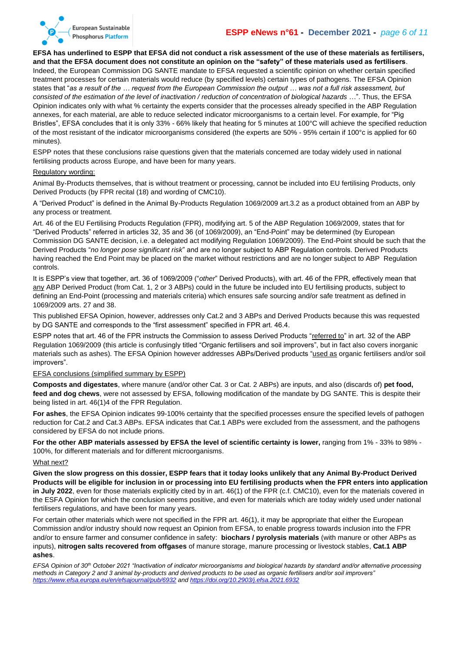

#### **ESPP eNews n°61 - December 2021 -** *page 6 of 11*

**EFSA has underlined to ESPP that EFSA did not conduct a risk assessment of the use of these materials as fertilisers, and that the EFSA document does not constitute an opinion on the "safety" of these materials used as fertilisers**. Indeed, the European Commission DG SANTE mandate to EFSA requested a scientific opinion on whether certain specified treatment processes for certain materials would reduce (by specified levels) certain types of pathogens. The EFSA Opinion states that "*as a result of the … request from the European Commission the output … was not a full risk assessment, but consisted of the estimation of the level of inactivation / reduction of concentration of biological hazards* …". Thus, the EFSA Opinion indicates only with what % certainty the experts consider that the processes already specified in the ABP Regulation annexes, for each material, are able to reduce selected indicator microorganisms to a certain level. For example, for "Pig Bristles", EFSA concludes that it is only 33% - 66% likely that heating for 5 minutes at 100°C will achieve the specified reduction of the most resistant of the indicator microorganisms considered (the experts are 50% - 95% certain if 100°c is applied for 60 minutes).

ESPP notes that these conclusions raise questions given that the materials concerned are today widely used in national fertilising products across Europe, and have been for many years.

#### Regulatory wording:

Animal By-Products themselves, that is without treatment or processing, cannot be included into EU fertilising Products, only Derived Products (by FPR recital (18) and wording of CMC10).

A "Derived Product" is defined in the Animal By-Products Regulation 1069/2009 art.3.2 as a product obtained from an ABP by any process or treatment.

Art. 46 of the EU Fertilising Products Regulation (FPR), modifying art. 5 of the ABP Regulation 1069/2009, states that for "Derived Products" referred in articles 32, 35 and 36 (of 1069/2009), an "End-Point" may be determined (by European Commission DG SANTE decision, i.e. a delegated act modifying Regulation 1069/2009). The End-Point should be such that the Derived Products "*no longer pose significant risk*" and are no longer subject to ABP Regulation controls. Derived Products having reached the End Point may be placed on the market without restrictions and are no longer subject to ABP Regulation controls.

It is ESPP's view that together, art. 36 of 1069/2009 ("*other*" Derived Products), with art. 46 of the FPR, effectively mean that any ABP Derived Product (from Cat. 1, 2 or 3 ABPs) could in the future be included into EU fertilising products, subject to defining an End-Point (processing and materials criteria) which ensures safe sourcing and/or safe treatment as defined in 1069/2009 arts. 27 and 38.

This published EFSA Opinion, however, addresses only Cat.2 and 3 ABPs and Derived Products because this was requested by DG SANTE and corresponds to the "first assessment" specified in FPR art. 46.4.

ESPP notes that art. 46 of the FPR instructs the Commission to assess Derived Products "referred to" in art. 32 of the ABP Regulation 1069/2009 (this article is confusingly titled "Organic fertilisers and soil improvers", but in fact also covers inorganic materials such as ashes). The EFSA Opinion however addresses ABPs/Derived products "used as organic fertilisers and/or soil improvers".

EFSA conclusions (simplified summary by ESPP)

**Composts and digestates**, where manure (and/or other Cat. 3 or Cat. 2 ABPs) are inputs, and also (discards of) **pet food, feed and dog chews**, were not assessed by EFSA, following modification of the mandate by DG SANTE. This is despite their being listed in art. 46(1)4 of the FPR Regulation.

**For ashes**, the EFSA Opinion indicates 99-100% certainty that the specified processes ensure the specified levels of pathogen reduction for Cat.2 and Cat.3 ABPs. EFSA indicates that Cat.1 ABPs were excluded from the assessment, and the pathogens considered by EFSA do not include prions.

For the other ABP materials assessed by EFSA the level of scientific certainty is lower, ranging from 1% - 33% to 98% -100%, for different materials and for different microorganisms.

#### What next?

**Given the slow progress on this dossier, ESPP fears that it today looks unlikely that any Animal By-Product Derived Products will be eligible for inclusion in or processing into EU fertilising products when the FPR enters into application in July 2022**, even for those materials explicitly cited by in art. 46(1) of the FPR (c.f. CMC10), even for the materials covered in the ESFA Opinion for which the conclusion seems positive, and even for materials which are today widely used under national fertilisers regulations, and have been for many years.

For certain other materials which were not specified in the FPR art. 46(1), it may be appropriate that either the European Commission and/or industry should now request an Opinion from EFSA, to enable progress towards inclusion into the FPR and/or to ensure farmer and consumer confidence in safety: **biochars / pyrolysis materials** (with manure or other ABPs as inputs), **nitrogen salts recovered from offgases** of manure storage, manure processing or livestock stables, **Cat.1 ABP ashes**.

*EFSA Opinion of 30th October 2021 "Inactivation of indicator microorganisms and biological hazards by standard and/or alternative processing methods in Category 2 and 3 animal by-products and derived products to be used as organic fertilisers and/or soil improvers" <https://www.efsa.europa.eu/en/efsajournal/pub/6932> an[d https://doi.org/10.2903/j.efsa.2021.6932](https://doi.org/10.2903/j.efsa.2021.6932)*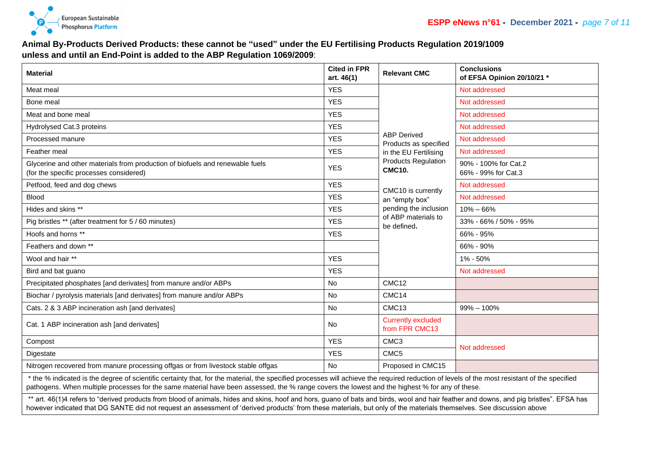

## **Animal By-Products Derived Products: these cannot be "used" under the EU Fertilising Products Regulation 2019/1009 unless and until an End-Point is added to the ABP Regulation 1069/2009**:

| <b>Material</b>                                                                                                                                                                       | <b>Cited in FPR</b><br>art. 46(1) | <b>Relevant CMC</b>                                                                                                                                                                                                        | <b>Conclusions</b><br>of EFSA Opinion 20/10/21 * |  |
|---------------------------------------------------------------------------------------------------------------------------------------------------------------------------------------|-----------------------------------|----------------------------------------------------------------------------------------------------------------------------------------------------------------------------------------------------------------------------|--------------------------------------------------|--|
| Meat meal                                                                                                                                                                             | <b>YES</b>                        | <b>ABP Derived</b><br>Products as specified<br>in the EU Fertilising<br><b>Products Regulation</b><br><b>CMC10.</b><br>CMC10 is currently<br>an "empty box"<br>pending the inclusion<br>of ABP materials to<br>be defined. | Not addressed                                    |  |
| Bone meal                                                                                                                                                                             | <b>YES</b>                        |                                                                                                                                                                                                                            | Not addressed                                    |  |
| Meat and bone meal                                                                                                                                                                    | <b>YES</b>                        |                                                                                                                                                                                                                            | Not addressed                                    |  |
| Hydrolysed Cat.3 proteins                                                                                                                                                             | <b>YES</b>                        |                                                                                                                                                                                                                            | Not addressed                                    |  |
| Processed manure                                                                                                                                                                      | <b>YES</b>                        |                                                                                                                                                                                                                            | Not addressed                                    |  |
| Feather meal                                                                                                                                                                          | <b>YES</b>                        |                                                                                                                                                                                                                            | Not addressed                                    |  |
| Glycerine and other materials from production of biofuels and renewable fuels<br>(for the specific processes considered)                                                              | <b>YES</b>                        |                                                                                                                                                                                                                            | 90% - 100% for Cat.2<br>66% - 99% for Cat.3      |  |
| Petfood, feed and dog chews                                                                                                                                                           | <b>YES</b>                        |                                                                                                                                                                                                                            | Not addressed                                    |  |
| Blood                                                                                                                                                                                 | <b>YES</b>                        |                                                                                                                                                                                                                            | Not addressed                                    |  |
| Hides and skins **                                                                                                                                                                    | <b>YES</b>                        |                                                                                                                                                                                                                            | $10\% - 66\%$                                    |  |
| Pig bristles ** (after treatment for 5 / 60 minutes)                                                                                                                                  | <b>YES</b>                        |                                                                                                                                                                                                                            | 33% - 66% / 50% - 95%                            |  |
| Hoofs and horns **                                                                                                                                                                    | <b>YES</b>                        |                                                                                                                                                                                                                            | 66% - 95%                                        |  |
| Feathers and down **                                                                                                                                                                  |                                   |                                                                                                                                                                                                                            | 66% - 90%                                        |  |
| Wool and hair **                                                                                                                                                                      | <b>YES</b>                        |                                                                                                                                                                                                                            | 1% - 50%                                         |  |
| Bird and bat guano                                                                                                                                                                    | <b>YES</b>                        |                                                                                                                                                                                                                            | Not addressed                                    |  |
| Precipitated phosphates [and derivates] from manure and/or ABPs                                                                                                                       | <b>No</b>                         | CMC <sub>12</sub>                                                                                                                                                                                                          |                                                  |  |
| Biochar / pyrolysis materials [and derivates] from manure and/or ABPs                                                                                                                 | <b>No</b>                         | CMC14                                                                                                                                                                                                                      |                                                  |  |
| Cats. 2 & 3 ABP incineration ash [and derivates]                                                                                                                                      | <b>No</b>                         | CMC <sub>13</sub>                                                                                                                                                                                                          | $99\% - 100\%$                                   |  |
| Cat. 1 ABP incineration ash [and derivates]                                                                                                                                           | No.                               | <b>Currently excluded</b><br>from FPR CMC13                                                                                                                                                                                |                                                  |  |
| Compost                                                                                                                                                                               | <b>YES</b>                        | CMC <sub>3</sub>                                                                                                                                                                                                           | Not addressed                                    |  |
| Digestate                                                                                                                                                                             | <b>YES</b>                        | CMC <sub>5</sub>                                                                                                                                                                                                           |                                                  |  |
| Nitrogen recovered from manure processing offgas or from livestock stable offgas                                                                                                      | <b>No</b>                         | Proposed in CMC15                                                                                                                                                                                                          |                                                  |  |
| * the 0/ indicated is the degree of coincidio certainty that for the material, the encoding measurement colorer the required reduction of loyale of the meat register to the encoding |                                   |                                                                                                                                                                                                                            |                                                  |  |

the % indicated is the degree of scientific certainty that, for the material, the specified processes will achieve the required reduction of levels of the most resistant of the specified pathogens. When multiple processes for the same material have been assessed, the % range covers the lowest and the highest % for any of these.

\*\* art. 46(1)4 refers to "derived products from blood of animals, hides and skins, hoof and hors, guano of bats and birds, wool and hair feather and downs, and pig bristles". EFSA has however indicated that DG SANTE did not request an assessment of 'derived products' from these materials, but only of the materials themselves. See discussion above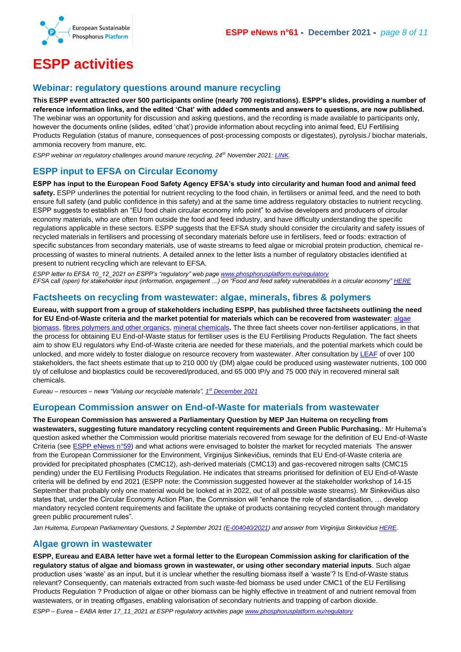

# <span id="page-7-0"></span>**ESPP activities**

#### <span id="page-7-1"></span>**Webinar: regulatory questions around manure recycling**

**This ESPP event attracted over 500 participants online (nearly 700 registrations). ESPP's slides, providing a number of reference information links, and the edited 'Chat' with added comments and answers to questions, are now published.**  The webinar was an opportunity for discussion and asking questions, and the recording is made available to participants only, however the documents online (slides, edited 'chat') provide information about recycling into animal feed, EU Fertilising Products Regulation (status of manure, consequences of post-processing composts or digestates), pyrolysis./ biochar materials, ammonia recovery from manure, etc.

*ESPP webinar on regulatory challenges around manure recycling, 24th November 2021: [LINK.](https://phosphorusplatform.eu/past-events/2129-regulatory-develoments-on-manure-recycling)*

## <span id="page-7-2"></span>**ESPP input to EFSA on Circular Economy**

**ESPP has input to the European Food Safety Agency EFSA's study into circularity and human food and animal feed**  safety. ESPP underlines the potential for nutrient recycling to the food chain, in fertilisers or animal feed, and the need to both ensure full safety (and public confidence in this safety) and at the same time address regulatory obstacles to nutrient recycling. ESPP suggests to establish an "EU food chain circular economy info point" to advise developers and producers of circular economy materials, who are often from outside the food and feed industry, and have difficulty understanding the specific regulations applicable in these sectors. ESPP suggests that the EFSA study should consider the circularity and safety issues of recycled materials in fertilisers and processing of secondary materials before use in fertilisers, feed or foods: extraction of specific substances from secondary materials, use of waste streams to feed algae or microbial protein production, chemical reprocessing of wastes to mineral nutrients. A detailed annex to the letter lists a number of regulatory obstacles identified at present to nutrient recycling which are relevant to EFSA.

*ESPP letter to EFSA 10\_12\_2021 on ESPP's "regulatory" web pag[e www.phosphorusplatform.eu/regulatory](http://www.phosphorusplatform.eu/regulatory)*

*EFSA call (open) for stakeholder input (information, engagement …) on "Food and feed safety vulnerabilities in a circular economy[" HERE](https://www.efsa.europa.eu/en/stakeholders/calls-for-stakeholders#questions)*

#### <span id="page-7-3"></span>**Factsheets on recycling from wastewater: algae, minerals, fibres & polymers**

**Eureau, with support from a group of stakeholders including ESPP, has published three factsheets outlining the need for EU End-of-Waste criteria and the market potential for materials which can be recovered from wastewater**[: algae](https://www.eureau.org/documents/diverse/6078-factsheet-on-products-from-waste-water-algae-biomass)  [biomass,](https://www.eureau.org/documents/diverse/6078-factsheet-on-products-from-waste-water-algae-biomass) [fibres polymers and other organics,](https://www.eureau.org/documents/diverse/6080-factsheet-on-products-from-waste-water-fibres-and-polymers) [mineral chemicals](https://www.eureau.org/documents/diverse/6079-factsheet-on-products-from-waste-water-minerals)**.** The three fact sheets cover non-fertiliser applications, in that the process for obtaining EU End-of-Waste status for fertiliser uses is the EU Fertilising Products Regulation. The fact sheets aim to show EU regulators why End-of-Waste criteria are needed for these materials, and the potential markets which could be unlocked, and more widely to foster dialogue on resource recovery from wastewater. After consultation by [LEAF](https://www.leaf-wageningen.nl/nl/leaf.htm) of over 100 stakeholders, the fact sheets estimate that up to 210 000 t/y (DM) algae could be produced using wastewater nutrients, 100 000 t/y of cellulose and bioplastics could be recovered/produced, and 65 000 tP/y and 75 000 tN/y in recovered mineral salt chemicals.

*Eureau – resources – news "Valuing our recyclable materials", 1 st [December 2021](https://www.eureau.org/resources/news/606-valuing-our-recyclable-materials)*

#### <span id="page-7-4"></span>**European Commission answer on End-of-Waste for materials from wastewater**

**The European Commission has answered a Parliamentary Question by MEP Jan Huitema on recycling from wastewaters, suggesting future mandatory recycling content requirements and Green Public Purchasing.**: Mr Huitema's question asked whether the Commission would prioritise materials recovered from sewage for the definition of EU End-of-Waste Criteria (see [ESPP eNews n°59\)](http://www.phosphorusplatform.eu/eNews059) and what actions were envisaged to bolster the market for recycled materials The answer from the European Commissioner for the Environment, Virginijus Sinkevičius, reminds that EU End-of-Waste criteria are provided for precipitated phosphates (CMC12), ash-derived materials (CMC13) and gas-recovered nitrogen salts (CMC15 pending) under the EU Fertilising Products Regulation. He indicates that streams prioritised for definition of EU End-of-Waste criteria will be defined by end 2021 (ESPP note: the Commission suggested however at the stakeholder workshop of 14-15 September that probably only one material would be looked at in 2022, out of all possible waste streams). Mr Sinkevičius also states that, under the Circular Economy Action Plan, the Commission will "enhance the role of standardisation, … develop mandatory recycled content requirements and facilitate the uptake of products containing recycled content through mandatory green public procurement rules".

*Jan Huitema, European Parliamentary Questions, 2 September 2021 [\(E-004040/2021\)](https://www.europarl.europa.eu/doceo/document/E-9-2021-004040_EN.html) and answer from Virginijus Sinkevičius [HERE.](https://www.europarl.europa.eu/doceo/document/E-9-2021-004040-ASW_EN.pdf)*

#### <span id="page-7-5"></span>**Algae grown in wastewater**

**ESPP, Eureau and EABA letter have wet a formal letter to the European Commission asking for clarification of the regulatory status of algae and biomass grown in wastewater, or using other secondary material inputs**. Such algae production uses 'waste' as an input, but it is unclear whether the resulting biomass itself a 'waste'? Is End-of-Waste status relevant? Consequently, can materials extracted from such waste-fed biomass be used under CMC1 of the EU Fertilising Products Regulation ? Production of algae or other biomass can be highly effective in treatment of and nutrient removal from wastewaters, or in treating offgases, enabling valorisation of secondary nutrients and trapping of carbon dioxide.

*ESPP – Eurea – EABA letter 17\_11\_2021 at ESPP regulatory activities pag[e www.phosphorusplatform.eu/regulatory](http://www.phosphorusplatform.eu/regulatory)*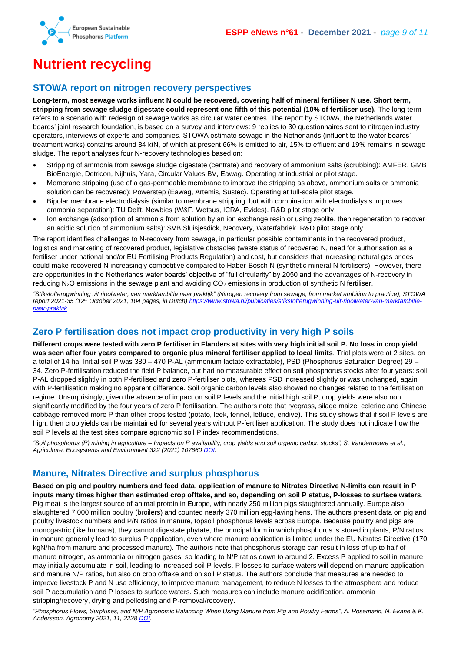

# <span id="page-8-0"></span>**Nutrient recycling**

## <span id="page-8-1"></span>**STOWA report on nitrogen recovery perspectives**

**Long-term, most sewage works influent N could be recovered, covering half of mineral fertiliser N use. Short term, stripping from sewage sludge digestate could represent one fifth of this potential (10% of fertiliser use).** The long-term refers to a scenario with redesign of sewage works as circular water centres. The report by STOWA, the Netherlands water boards' joint research foundation, is based on a survey and interviews: 9 replies to 30 questionnaires sent to nitrogen industry operators, interviews of experts and companies. STOWA estimate sewage in the Netherlands (influent to the water boards' treatment works) contains around 84 ktN, of which at present 66% is emitted to air, 15% to effluent and 19% remains in sewage sludge. The report analyses four N-recovery technologies based on:

- Stripping of ammonia from sewage sludge digestate (centrate) and recovery of ammonium salts (scrubbing): AMFER, GMB BioEnergie, Detricon, Nijhuis, Yara, Circular Values BV, Eawag. Operating at industrial or pilot stage.
- Membrane stripping (use of a gas-permeable membrane to improve the stripping as above, ammonium salts or ammonia solution can be recovered): Powerstep (Eawag, Artemis, Sustec). Operating at full-scale pilot stage.
- Bipolar membrane electrodialysis (similar to membrane stripping, but with combination with electrodialysis improves ammonia separation): TU Delft, Newbies (W&F, Wetsus, ICRA, Evides). R&D pilot stage only.
- Ion exchange (adsorption of ammonia from solution by an ion exchange resin or using zeolite, then regeneration to recover an acidic solution of ammonium salts): SVB Sluisjesdick, Necovery, Waterfabriek. R&D pilot stage only.

The report identifies challenges to N-recovery from sewage, in particular possible contaminants in the recovered product, logistics and marketing of recovered product, legislative obstacles (waste status of recovered N, need for authorisation as a fertiliser under national and/or EU Fertilising Products Regulation) and cost, but considers that increasing natural gas prices could make recovered N increasingly competitive compared to Haber-Bosch N (synthetic mineral N fertilisers). However, there are opportunities in the Netherlands water boards' objective of "full circularity" by 2050 and the advantages of N-recovery in reducing N<sub>2</sub>O emissions in the sewage plant and avoiding CO<sub>2</sub> emissions in production of synthetic N fertiliser.

*"Stikstofterugwinning uit rioolwater; van marktambitie naar praktijk" (Nitrogen recovery from sewage; from market ambition to practice), STOWA report 2021-35 (12th October 2021, 104 pages, in Dutch[\) https://www.stowa.nl/publicaties/stikstofterugwinning-uit-rioolwater-van-marktambitie](https://www.stowa.nl/publicaties/stikstofterugwinning-uit-rioolwater-van-marktambitie-naar-praktijk)[naar-praktijk](https://www.stowa.nl/publicaties/stikstofterugwinning-uit-rioolwater-van-marktambitie-naar-praktijk)*

## <span id="page-8-2"></span>**Zero P fertilisation does not impact crop productivity in very high P soils**

**Different crops were tested with zero P fertiliser in Flanders at sites with very high initial soil P. No loss in crop yield was seen after four years compared to organic plus mineral fertiliser applied to local limits**. Trial plots were at 2 sites, on a total of 14 ha. Initial soil P was 380 – 470 P-AL (ammonium lactate extractable), PSD (Phosphorus Saturation Degree) 29 – 34. Zero P-fertilisation reduced the field P balance, but had no measurable effect on soil phosphorus stocks after four years: soil P-AL dropped slightly in both P-fertilised and zero P-fertiliser plots, whereas PSD increased slightly or was unchanged, again with P-fertilisation making no apparent difference. Soil organic carbon levels also showed no changes related to the fertilisation regime. Unsurprisingly, given the absence of impact on soil P levels and the initial high soil P, crop yields were also non significantly modified by the four years of zero P fertilisation. The authors note that ryegrass, silage maize, celeriac and Chinese cabbage removed more P than other crops tested (potato, leek, fennel, lettuce, endive). This study shows that if soil P levels are high, then crop yields can be maintained for several years without P-fertiliser application. The study does not indicate how the soil P levels at the test sites compare agronomic soil P index recommendations.

*"Soil phosphorus (P) mining in agriculture – Impacts on P availability, crop yields and soil organic carbon stocks", S. Vandermoere et al., Agriculture, Ecosystems and Environment 322 (2021) 107660 [DOI.](https://doi.org/10.1016/j.agee.2021.107660)*

## <span id="page-8-3"></span>**Manure, Nitrates Directive and surplus phosphorus**

**Based on pig and poultry numbers and feed data, application of manure to Nitrates Directive N-limits can result in P inputs many times higher than estimated crop offtake, and so, depending on soil P status, P-losses to surface waters**. Pig meat is the largest source of animal protein in Europe, with nearly 250 million pigs slaughtered annually. Europe also slaughtered 7 000 million poultry (broilers) and counted nearly 370 million egg-laying hens. The authors present data on pig and poultry livestock numbers and P/N ratios in manure, topsoil phosphorus levels across Europe. Because poultry and pigs are monogastric (like humans), they cannot digestate phytate, the principal form in which phosphorus is stored in plants, P/N ratios in manure generally lead to surplus P application, even where manure application is limited under the EU Nitrates Directive (170 kgN/ha from manure and processed manure). The authors note that phosphorus storage can result in loss of up to half of manure nitrogen, as ammonia or nitrogen gases, so leading to N/P ratios down to around 2. Excess P applied to soil in manure may initially accumulate in soil, leading to increased soil P levels. P losses to surface waters will depend on manure application and manure N/P ratios, but also on crop offtake and on soil P status. The authors conclude that measures are needed to improve livestock P and N use efficiency, to improve manure management, to reduce N losses to the atmosphere and reduce soil P accumulation and P losses to surface waters. Such measures can include manure acidification, ammonia stripping/recovery, drying and pelletising and P-removal/recovery.

*"Phosphorus Flows, Surpluses, and N/P Agronomic Balancing When Using Manure from Pig and Poultry Farms", A. Rosemarin, N. Ekane & K. Andersson, Agronomy 2021, 11, 2228 [DOI.](https://doi.org/10.3390/agronomy11112228)*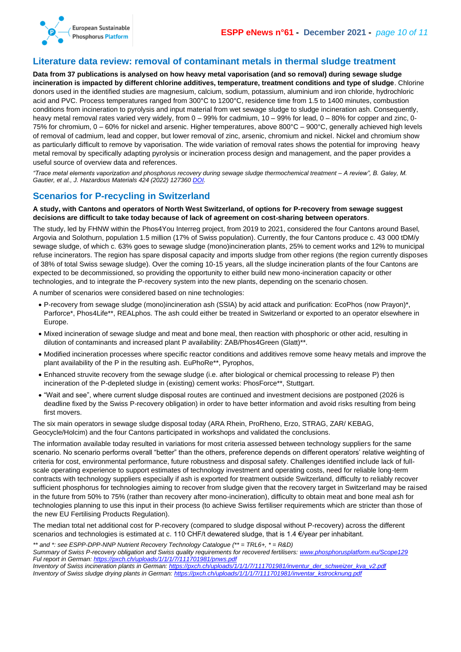

## <span id="page-9-0"></span>**Literature data review: removal of contaminant metals in thermal sludge treatment**

**Data from 37 publications is analysed on how heavy metal vaporisation (and so removal) during sewage sludge incineration is impacted by different chlorine additives, temperature, treatment conditions and type of sludge**. Chlorine donors used in the identified studies are magnesium, calcium, sodium, potassium, aluminium and iron chloride, hydrochloric acid and PVC. Process temperatures ranged from 300°C to 1200°C, residence time from 1.5 to 1400 minutes, combustion conditions from incineration to pyrolysis and input material from wet sewage sludge to sludge incineration ash. Consequently, heavy metal removal rates varied very widely, from 0 – 99% for cadmium, 10 – 99% for lead, 0 – 80% for copper and zinc, 0-75% for chromium, 0 – 60% for nickel and arsenic. Higher temperatures, above 800°C – 900°C, generally achieved high levels of removal of cadmium, lead and copper, but lower removal of zinc, arsenic, chromium and nickel. Nickel and chromium show as particularly difficult to remove by vaporisation. The wide variation of removal rates shows the potential for improving heavy metal removal by specifically adapting pyrolysis or incineration process design and management, and the paper provides a useful source of overview data and references.

*"Trace metal elements vaporization and phosphorus recovery during sewage sludge thermochemical treatment – A review", B. Galey, M. Gautier, et al., J. Hazardous Materials 424 (2022) 127360 [DOI.](https://doi.org/10.1016/j.jhazmat.2021.127360)* 

## <span id="page-9-1"></span>**Scenarios for P-recycling in Switzerland**

#### **A study, with Cantons and operators of North West Switzerland, of options for P-recovery from sewage suggest decisions are difficult to take today because of lack of agreement on cost-sharing between operators**.

The study, led by FHNW within the Phos4You Interreg project, from 2019 to 2021, considered the four Cantons around Basel, Argovia and Solothurn, population 1.5 million (17% of Swiss population). Currently, the four Cantons produce c. 43 000 tDM/y sewage sludge, of which c. 63% goes to sewage sludge (mono)incineration plants, 25% to cement works and 12% to municipal refuse incinerators. The region has spare disposal capacity and imports sludge from other regions (the region currently disposes of 38% of total Swiss sewage sludge). Over the coming 10-15 years, all the sludge incineration plants of the four Cantons are expected to be decommissioned, so providing the opportunity to either build new mono-incineration capacity or other technologies, and to integrate the P-recovery system into the new plants, depending on the scenario chosen.

A number of scenarios were considered based on nine technologies:

- P-recovery from sewage sludge (mono)incineration ash (SSIA) by acid attack and purification: EcoPhos (now Prayon)\*, Parforce\*, Phos4Life\*\*, REALphos. The ash could either be treated in Switzerland or exported to an operator elsewhere in Europe.
- Mixed incineration of sewage sludge and meat and bone meal, then reaction with phosphoric or other acid, resulting in dilution of contaminants and increased plant P availability: ZAB/Phos4Green (Glatt)\*\*.
- Modified incineration processes where specific reactor conditions and additives remove some heavy metals and improve the plant availability of the P in the resulting ash. EuPhoRe\*\*, Pyrophos,
- Enhanced struvite recovery from the sewage sludge (i.e. after biological or chemical processing to release P) then incineration of the P-depleted sludge in (existing) cement works: PhosForce\*\*, Stuttgart.
- "Wait and see", where current sludge disposal routes are continued and investment decisions are postponed (2026 is deadline fixed by the Swiss P-recovery obligation) in order to have better information and avoid risks resulting from being first movers.

The six main operators in sewage sludge disposal today (ARA Rhein, ProRheno, Erzo, STRAG, ZAR/ KEBAG, Geocycle/Holcim) and the four Cantons participated in workshops and validated the conclusions.

The information available today resulted in variations for most criteria assessed between technology suppliers for the same scenario. No scenario performs overall "better" than the others, preference depends on different operators' relative weighting of criteria for cost, environmental performance, future robustness and disposal safety. Challenges identified include lack of fullscale operating experience to support estimates of technology investment and operating costs, need for reliable long-term contracts with technology suppliers especially if ash is exported for treatment outside Switzerland, difficulty to reliably recover sufficient phosphorus for technologies aiming to recover from sludge given that the recovery target in Switzerland may be raised in the future from 50% to 75% (rather than recovery after mono-incineration), difficulty to obtain meat and bone meal ash for technologies planning to use this input in their process (to achieve Swiss fertiliser requirements which are stricter than those of the new EU Fertilising Products Regulation).

The median total net additional cost for P-recovery (compared to sludge disposal without P-recovery) across the different scenarios and technologies is estimated at c. 110 CHF/t dewatered sludge, that is 1.4 €/year per inhabitant.

*\*\* and \*: see ESPP-DPP-NNP Nutrient Recovery Technology Catalogue (\*\* = TRL6+, \* = R&D) Summary of Swiss P-recovery obligation and Swiss quality requirements for recovered fertilisers: [www.phosphorusplatform.eu/Scope129](http://www.phosphorusplatform.eu/Scope129) Ful report in German:<https://pxch.ch/uploads/1/1/1/7/111701981/pnws.pdf> Inventory of Swiss incineration plants in German: [https://pxch.ch/uploads/1/1/1/7/111701981/inventur\\_der\\_schweizer\\_kva\\_v2.pdf](https://pxch.ch/uploads/1/1/1/7/111701981/inventur_der_schweizer_kva_v2.pdf) Inventory of Swiss sludge drying plants in German: [https://pxch.ch/uploads/1/1/1/7/111701981/inventar\\_kstrocknung.pdf](https://pxch.ch/uploads/1/1/1/7/111701981/inventar_kstrocknung.pdf)*